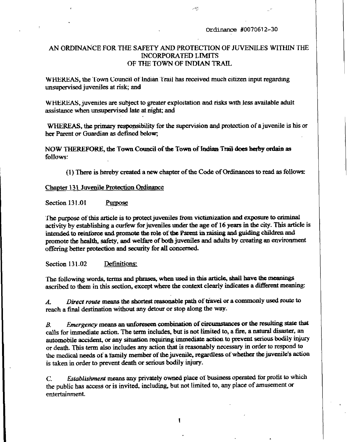### Ordinance #0070612-30

# AN ORDINANCE FOR THE SAFETY AND PROTECTION OF JUVENILES WITHIN THE **INCORPORATED LIMITS** OF THE TOWN OF INDIAN TRAIL

ومجدر

WHEREAS, the Town Council of Indian Trail has received much citizen input regarding unsupervised juveniles at risk; and

WHEREAS, juveniles are subject to greater exploitation and risks with less available adult assistance when unsupervised late at night; and

WHEREAS, the primary responsibility for the supervision and protection of a juvenile is his or her Parent or Guardian as defined below;

NOW THEREFORE, the Town Council of the Town of Indian Trail does herby ordain as follows:

(1) There is hereby created a new chapter of the Code of Ordinances to read as follows:

### Chapter 131 Juvenile Protection Ordinance

**Section 131.01** Purpose

The purpose of this article is to protect juveniles from victimization and exposure to criminal activity by establishing a curfew for juveniles under the age of 16 years in the city. This article is intended to reinforce and promote the role of the Parent in raising and guiding children and promote the health, safety, and welfare of both juveniles and adults by creating an environment offering better protection and security for all concerned.

Section 131.02 Definitions:

The following words, terms and phrases, when used in this article, shall have the meanings ascribed to them in this section, except where the context clearly indicates a different meaning:

Direct route means the shortest reasonable path of travel or a commonly used route to  $\boldsymbol{\mathcal{A}}$ . reach a final destination without any detour or stop along the way.

Emergency means an unforeseen combination of circumstances or the resulting state that  $B_{\cdot}$ calls for immediate action. The term includes, but is not limited to, a fire, a natural disaster, an automobile accident, or any situation requiring immediate action to prevent serious bodily injury or death. This term also includes any action that is reasonably necessary in order to respond to the medical needs of a family member of the juvenile, regardless of whether the juvenile's action is taken in order to prevent death or serious bodily injury.

Establishment means any privately owned place of business operated for profit to which  $\overline{C}$ the public has access or is invited, including, but not limited to, any place of amusement or entertainment.

 $\mathbf{I}$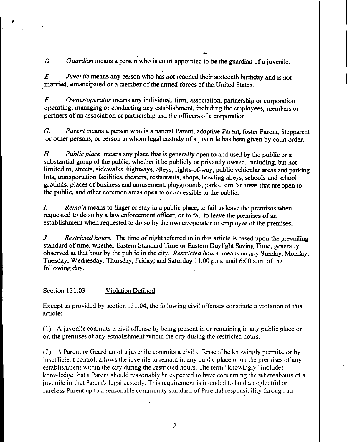$D.$  Guardian means a person who is court appointed to be the guardian of a juvenile

 $E.$  Juvenile means any person who has not reached their sixteenth birthday and is not married, emancipated or a member of the armed forces of the United States.

 $F.$  Owner/operator means any individual, firm, association, partnership or corporation operating, managing or conducting any establishment, including the employees, members or partners of an association or partnership and the officers of a corporation.

G. Parent means a person who is a natural Parent, adoptive Parent, foster Parent, Stepparent

or other persons, or person to whom legal custody of a juvenile has been given by court order.<br>
H. Public place means any place that is generally open to and used by the public or a substantial group of the public whether substantial group of the public, whether it be publicly or privately owned, including, but not or other persons, or person to whom legal custody of a juvenile has been given by court order.<br> *H. Public place* means any place that is generally open to and used by the public or a<br>
substantial group of the public, whet lots, transportation facilities, theaters, restaurants, shops, bowling alleys, schools and school grounds, places of business and amusement, playgrounds, parks, similar areas that are open to the public, and other common areas open to or accessible to the public.

I. Remain means to linger or stay in a public place, to fail to leave the premises when requested to do so by a law enforcement officer, or to fail to leave the premises of an establishment when requested to do so by the owner/operator or employee of the premises.

 $J.$  Restricted hours. The time of night referred to in this article is based upon the prevailing standard of time, whether Eastern Standard Time or Eastern Daylight Saving Time, generally observed at that hour by the public in the city. Restricted hours means on any Sunday, Monday, J. Restricted hours. The time of night referred to in this article is based upon the standard of time, whether Eastern Standard Time or Eastern Daylight Saving Time, gen observed at that hour by the public in the city. Res following day

### Section 131.03 Violation Defined

Except as provided by section 131.04, the following civil offenses constitute a violation of this article

1 <sup>A</sup>juvenile commits <sup>a</sup>civil offense by being present in or remaining in any public place or on the premises of any establishment within the city during the restricted hours

 $(2)$  A Parent or Guardian of a juvenile commits a civil offense if he knowingly permits, or by insufficient control, allows the juvenile to remain in any public place or on the premises of any establishment within the city during the restricted hours. The term "knowingly" includes knowledge that a Parent should reasonably be expected to have concerning the whereabouts of a insufficient control, allows the juvenile to remain in any public place or on the establishment within the city during the restricted hours. The term "knowing knowledge that a Parent should reasonably be expected to have c juvenile in that Parent's legal custody. This requirement is intended to hold a neglectful or careless Parent up to a reasonable community standard of Parental responsibility through an (2) A Parent or Guardian of a juvenile commits a civil offense if he knowingly permits, or insufficient control, allows the juvenile to remain in any public place or on the premises of establishment within the city during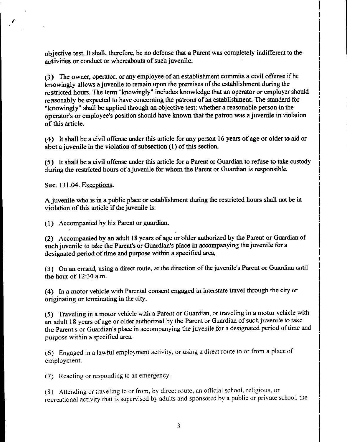objective test. It shall, therefore, be no defense that a Parent was completely indifferent to the activities or conduct or whereabouts of such juvenile.

(3) The owner, operator, or any employee of an establishment commits a civil offense if he<br>Leavingly allows a invarile to remain upon the promises of the establishment during the knowingly allows a juvenile to remain upon the premises of the establishment during the restricted hours. The term "knowingly" includes knowledge that an operator or employer should reasonably be expected to have concerning the patrons of an establishment. The standard for "knowingly" shall be applied through an objective test: whether a reasonable person in the (3) The o<br>
knowingly<br>
restricted l<br>
reasonably<br>
"knowingl<br>
operator's<br>
of this arti operator's or employee's position should have known that the patron was a juvenile in violation of this article.

4 It shall be a civil offense under this article for any person <sup>16</sup> years of age or olderto aid or of this article.<br>
(4) It shall be a civil offense under this article for a juvenile in the violation of subsection  $(1)$ abet a juvenile in the violation of subsection  $(1)$  of this section.

5 It shall be <sup>a</sup>civil offense under this article for <sup>a</sup>Parent or Guardian to refuse to take custody during the restricted hours of a juvenile for whom the Parent or Guardian is responsible

Sec. 131.04. Exceptions.

Ajuvenile who is in <sup>a</sup> public place or establishment during the restricted hours shall not be in violation of this article if the juvenile is:

(1) Accompanied by his Parent or guardian.

2. Accompanied by an adult 18 years of age or older authorized by the Parent or Guardian of violation of this article if the juvenile is:<br>
(1) Accompanied by his Parent or guardian.<br>
(2) Accompanied by an adult 18 years of age or older authorized by the Parent or Guards<br>
such juvenile to take the Parent's or Guar designated period of time and purpose within a specified area. (2) Accompanied by an adult 18 years of age or older authorized by the Parent or Guardian of such juvenile to take the Parent's or Guardian's place in accompanying the juvenile for a designated period of time and purpose

4 In amotorvehicie with Parental consent engaged in interstate travel through the city or originating or terminating in the city

5 Traveling in <sup>a</sup>motor vehicle with <sup>a</sup>Pazent or Guardian or traveling in <sup>a</sup>motor vehicle with an adult 18 years of age or older authorized by the Parent or Guardian of such juvenile to take the Parent's or Guardian's place in accompanying the juvenile for a designated period of time and purpose within a specified area.

 $(6)$  Engaged in a lawful employment activity, or using a direct route to or from a place of (6) Engaged<br>employment.

(7) Reacting or responding to an emergency.

(8) Attending or traveling to or from, by direct route, an official school, religious, or recreational activity that is supervised by adults and sponsored by a public or private school, the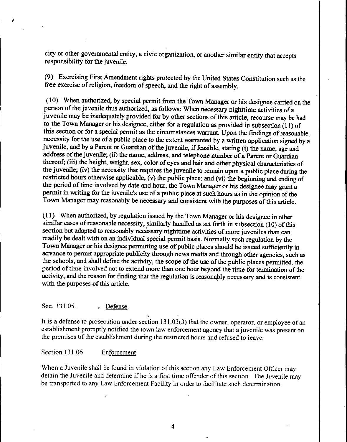city or other governmental entity, a civic organization, or another similar entity that accepts responsibility for the juvenile

9 Exercising First Amendment rights protected by the United States Constitution such as the free exercise of religion, freedom of speech, and the right of assembly.

 $(10)$  When authorized, by special permit from the Town Manager or his designee carried on the person of the juvenile thus authorized, as follows: When necessary nighttime activities of a juvenile may be inadequately provided for by other sections of this article, recourse may be had to the Town Manager or his designee, either for a regulation as provided in subsection (11) of this section or for a special permit as the circumstances warrant. Upon the findings of reasonable necessity for the use of a public place to the extent warranted by a written application signed by a this section or for a special permit as the circumstances warrant. Upon the necessity for the use of a public place to the extent warranted by a written juvenile, and by a Parent or Guardian of the juvenile, if feasible, s the name, age and address of the juvenile; (ii) the name, address, and telephone number of a Parent or Guardian address of the juvenile; (ii) the name, address, and telephone number of a Parent or Guardian thereof; (iii) the height, weight, sex, color of eyes and hair and other physical characteristics of the juvenile; (iv) the nece the juvenile; (iv) the necessity that requires the juvenile to remain upon a public place during the restricted hours otherwise applicable; (v) the public place; and (vi) the beginning and ending of the period of time involved by date and hour, the Town Manager or his designee may grant a permit in writing for the juvenile's use of a public place at such hours as in the opinion of the Town Manager may reasonably be necessary and consistent with the purposes of this article

(11) When authorized, by regulation issued by the Town Manager or his designee in other similar cases of reasonable necessity, similarly handled as set forth in subsection  $(10)$  of this section but adapted to reasonably necessary nighttime activities of more juveniles than can readily be dealt with on an individual special permit basis Normally such regulation by the Town Manager or his designee permitting use of public places should be issued sufficiently in advance to permit appropriate publicity through news media and through other agencies, such as the schools, and shall define the activity, the scope of the use of the public places permitted, the period of time involved not to extend more than one hour beyond the time for termination of the activity, and the reason for finding that the regulation is reasonably necessary and is consistent with the purposes of this article<br>Sec. 131.05. Defense

Sec. 131.05. <br>It is a defense to prosecution under section 131.03(3) that the owner, operator, or employee of an establishment promptly notified the town law enforcement agency that a juvenile was present on the premises of the establishment during the restricted hours and refused to leave

### Section 131.06 Enforcement

When a Juvenile shall be found in violation of this section any Law Enforcement Officer may detain the Juvenile and determine if he is a first time offender of this section. The Juvenile may be transported to any Law Enforcement Facility in order to facilitate such determination.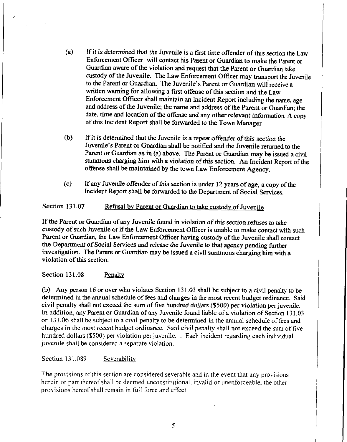- $(a)$  If it is determined that the Juvenile is a first time offender of this section the Law Enforcement Officer will contact his Pazent or Guazdian to make the Pazent or Guardian aware of the violation and request that the Parent or Guardian take custody of the Juvenile. The Law Enforcement Officer may transport the Juvenile to the Parent or Guardian. The Juvenile's Parent or Guardian will receive a If it is determined that the Juvenile is a first time offender of this section the Enforcement Officer will contact his Parent or Guardian to make the Parent Guardian aware of the violation and request that the Parent or G written warning for allowing a first offense of this section and the Law Enforcement Officer shall maintain an Incident Report including the name, age and address of the Juvenile; the name and address of the Parent or Guardian; the date, time and location of the offense and any other relevant information. A copy of this Incident Report shall be forwarded to the Town Manager
- (b) If it is determined that the Juvenile is a repeat offender of this section the Juvenile's Parent or Guardian shall be notified and the Juvenile returned to the Parent or Guardian as in (a) above. The Parent or Guardian may be issued a civil summons charging him with a violation of this section. An Incident Report of the offense shall be maintained by the town Law Enforcement Agency
- (c) If any Juvenile offender of this section is under 12 years of age, a copy of the Incident Report shall be forwarded to the Department of Social Services.

# Section 131.07 Refusal by Parent or Guardian to take custody of Juvenile

If the Parent or Guardian of any Juvenile found in violation of this section refuses to take custody of such Juvenile or if the Law Enforcement Officer is unable to make contact with such Parent or Guardian, the Law Enforcement Officer having custody of the Juvenile shall contact the Department of Social Services and release the Juvenile to that agency pending further investigation. The Parent or Guardian may be issued a civil summons charging him with a violation of this section.

Section 131.08 Penalty

(b) Any person 16 or over who violates Section 131.03 shall be subject to a civil penalty to be determined in the annual schedule of fees and charges in the most recent budget ordinance. Said civil penalty shall not exceed the sum of five hundred dollars (\$500) per violation per juvenile. civil penalty shall not exceed the sum of five hundred dollars (\$500) per violation per juvenile.<br>In addition, any Parent or Guardian of any Juvenile found liable of a violation of Section 131.03 In addition, any Parent or Guardian of any Juvenile found liable of a violation of Section 131.0<br>or 131.06 shall be subject to a civil penalty to be determined in the annual schedule of fees and charges in the most recent budget ordinance. Said civil penalty shall not exceed the sum of five hundred dollars (\$500) per violation per juvenile. . Each incident regarding each individual juvenile shall be considered a separate violation

Section 131.089 Severability

The provisions of this section are considered severable and in the event that any provisions herein or part thereof shall be deemed unconstitutional, invalid or unenforceable, the other provisions hereof shall remain in full force and effect The provisions of this section are considered severab<br>herein or part thereof shall be deemed unconstitutions<br>provisions hereof shall remain in full force and effect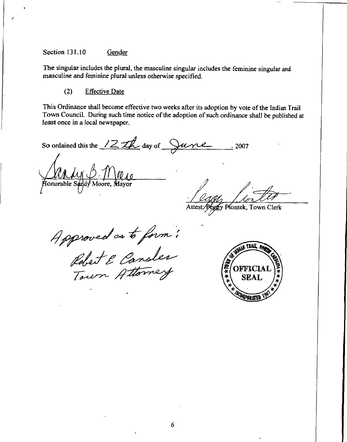### Section 131.10 Gender

The singular includes the plural, the masculine singular includes the feminine singular and masculine and feminine plural unless otherwise specified.

### $(2)$ **Effective Date**

This Ordinance shall become effective two weeks after its adoption by vote of the Indian Trail Town Council. During such time notice of the adoption of such ordinance shall be published at least once in a local newspaper.

So ordained this the  $12\pi k$  day of  $\sqrt{u^2 + u^2}$  $\frac{1}{2007}$ 

*MAM B 71 M<sub>10</sub>* 

Fy Piontek, Town Clerk Attest:

Approved as to form !<br>Robert & Cansler<br>Town Attorney

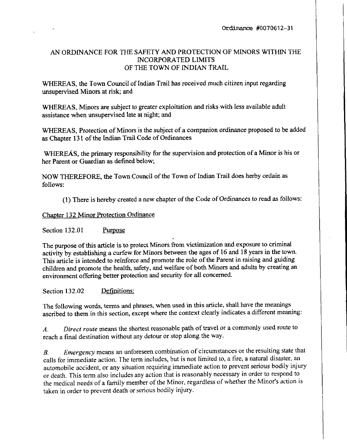# AN ORDINANCE FOR THE SAFETY AND PROTECTION OF MiNORS WITHIN THE INCORPORATED LIMITS OF THE TOWN OF INDIAN TRAIL

WHEREAS, the Town Council of Indian Trail has received much citizen input regarding unsupervised Minors at risk; and

WHEREAS, Minors are subject to greater exploitation and risks with less available adult assistance when unsupervised late at night; and

WHEREAS, Protection of Minors is the subject of a companion ordinance proposed to be added as Chapter 131 of the Indian Trail Code of Ordinances

WHEREAS, the primary responsibility for the supervision and protection of a Minor is his or her Parent or Guardian as defined below;

WHEREAS, the primary responsibility for the supervision and protection of a Minor is h<br>her Parent or Guardian as defined below;<br>NOW THEREFORE, the Town Council of the Town of Indian Trail does herby ordain as<br>follows: follows

(1) There is hereby created a new chapter of the Code of Ordinances to read as follows:

# Chapter 132 Minor Protection Ordinance

Section 132.01 Purpose

The purpose of this article is to protect Minors from victimization and exposure to criminal activity by establishing a curfew for Minors between the ages of 16 and 18 years in the town. This article is intended to reinforce and promote the role of the Parent in raising and guiding children and promote the health, safety, and welfare of both Minors and adults by creating an environment offering better protection and security for all concerned.

Section 132.02 Definitions:

The following words, terms and phrases, when used in this article, shall have the meanings ascribed to them in this section, except where the context clearly indicates a different meaning:

A. Direct route means the shortest reasonable path of travel or a commonly used route to reach a final destination without any detour or stop along the way.

B. Emergency means an unforeseen combination of circumstances or the resulting state that calls for immediate action. The term includes, but is not limited to, a fire, a natural disaster, an automobile accident, or any situation requiring immediate action to prevent serious bodily injury death In this section, except where the context etearly increased a directed mediaties.<br>
A. Direct route means the shortest reasonable path of travel or a commonly used route to<br>
reach a final destination without any detou the medical needs of a family member of the Minor, regardless of whether the Minor's action is taken in order to prevent death or serious bodily injury.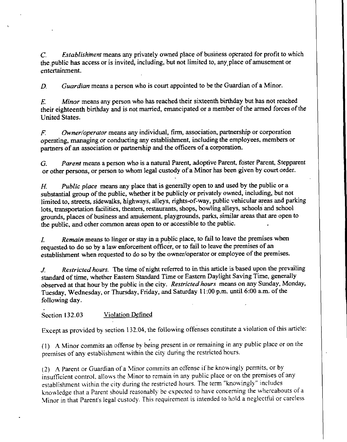$C<sub>c</sub>$  Establishiment means any privately owned place of business operated for profit to which the public has access or is invited, including, but not limited to, any place of amusement or entertainment

 $D.$  Guardian means a person who is court appointed to be the Guardian of a Minor.

 $E.$  Minor means any person who has reached their sixteenth birthday but has not reached their eighteenth birthday and is not married, emancipated or a member of the armed forces of the United States

 $F_1$  Owner/operator means any individual, firm, association, partnership or corporation operating, managing or conducting any establishment, including the employees, members or F. Owner/operator means any individual, firm, association or partners of an association or partnership and the officers of a corporatioa

G. Parent means a person who is a natural Parent, adoptive Parent, foster Parent, Stepparent G. Parent means a person who is a natural Parent, adoptive Parent, foster Parent, Steppar or other persons, or person to whom legal custody of a Minor has been given by court order.

H. Public place means any place that is generally open to and used by the public or a substantial group of the public, whether it be publicly or privately owned, including, but not limited to, streets, sidewalks, highways, alleys, rights-of-way, public vehicular areas and parking lots, transportation facilities, theaters, restaurants, shops, bowling alleys, schools and school grounds, places of business and amusement, playgrounds, parks, similar areas that are open to the public, and other common areas open to or accessible to the public.

I. Remain means to linger or stay in a public place, to fail to leave the premises when requested to do so by a law enforcement officer, or to fail to leave the premises of an establishment when requested to do so by the owner/operator or employee of the premises.

J. Restricted hours. The time of night referred to in this article is based upon the prevailing standard of time, whether Eastern Standard Time or Eastern Daylight Saving Time, generally observed at that hour by the public in the city. Restricted hours means on any Sunday, Monday, standard of time, whether Eastern Standard Time or Eastern Daylight Saving Time, gener observed at that hour by the public in the city. *Restricted hours* means on any Sunday, M Tuesday, Wednesday, or Thursday, Friday, and following day

Section 132.03 Violation Defined

Except as provided by section 132.04, the following offenses constitute a violation of this article:

(1) A Minor commits an offense by being present in or remaining in any public place or on the premises of any establishment within the city during the restricted hours

(2) A Parent or Guardian of a Minor commits an offense if he knowingly permits, or by (1) A Minor commits an offense by being present in or remaining in any public place or on<br>premises of any establishment within the city during the restricted hours.<br>(2) A Parent or Guardian of a Minor commits an offense i establishment within the city during the restricted hours. The term "knowingly" includes<br>knowledge that a Parent should reasonably be expected to have concerning the whereabouts of a Minor in that Parent's legal custody. This requirement is intended to hold a neglectiul or careless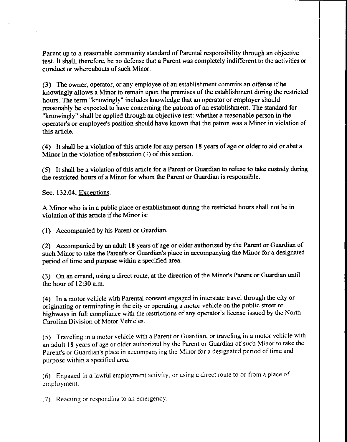Parent up to a reasonable community standard of Parental responsibility through an objective test. It shall, therefore, be no defense that a Parent was completely indifferent to the activities or conduct or whereabouts of such Minor.

 $(3)$  The owner, operator, or any employee of an establishment commits an offense if he knowingly allows a Minor to remain upon the premises of the establishment during the restricted hours. The term "knowingly" includes knowledge that an operator or employer should reasonably be expected to have concerning the patrons of an establishment. The standard for "knowingly" shall be applied through an objective test: whether a reasonable person in the operator's or employee's position should have known that the patron was a Minor in violation of (3) The owner, operator, or any employee of an establishment commits an offense if he knowingly allows a Minor to remain upon the premises of the establishment during the restricted hours. The term "knowingly" includes kno this article

(4) It shall be a violation of this article for any person 18 years of age or older to aid or abet a (4) It shall be a violation of this article for any person.<br>Minor in the violation of subsection  $(1)$  of this section.

(5) It shall be a violation of this article for a Parent or Guardian to refuse to take custody during<br>the assistant haves of a Mines for whom the Parent or Guardian is representible. the restricted hours of a Minor for whom the Parent or Guardian is responsible.

Sec. 132.04. Exceptions.

A Minor who is in a public place or establishment during the restricted hours shall not be in violation of this article if the Minor is:

(1) Accompanied by his Parent or Guardian.

2 Accompanied by an adult <sup>18</sup> years of age orolder authorized by the Parent or Guardian of violation of this article if the Minor is:<br>
(1) Accompanied by his Parent or Guardian.<br>
(2) Accompanied by an adult 18 years of age or older authorized by the Parent or Guardian of<br>
such Minor to take the Parent's or Guard period of time and purpose within a specified area. Minor to take the Parent's or Guardian's place in accompanying the Minor for a designate<br>od of time and purpose within a specified area.<br>On an errand, using a direct route, at the direction of the Minor's Parent or Guardia

(3) On an errand, usin<br>the hour of 12:30 a.m.

4 In <sup>a</sup>motor vehicle with Parental consent engaged in interstate travel through the city or originating or terminating in the city or operating a motor vehicle on the public street or the hour of 12:30 a.m.<br>
(4) In a motor vehicle with Parental consent engaged in interstate travel through the city or<br>
originating or terminating in the city or operating a motor vehicle on the public street or<br>
highways i Carolina Division of Motor Vehicles.

5 Traceling in <sup>a</sup> motor vehicle with <sup>a</sup>Pazent or Guazdian or trave ingin <sup>a</sup>motor vehicle with an adult 18 years of age or older authorized by the Parent or Guardian of such Minor to take the highways in full compliance with the restrictions of any operator's license issued by the Nc<br>Carolina Division of Motor Vehicles.<br>(5) Traveling in a motor vehicle with a Parent or Guardian, or traveling in a motor vehicle<br> purpose within a specified area

6 Engaged in <sup>a</sup> lawful employment activity or using <sup>a</sup> direct route to or trom <sup>a</sup> placeof employment

(7) Reacting or responding to an emergency.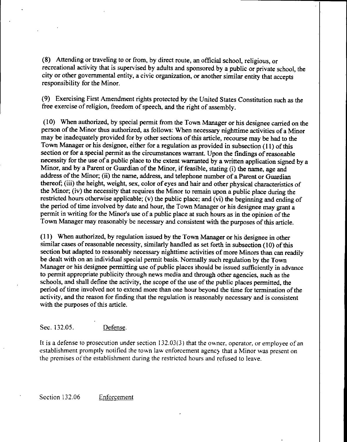(8) Attending or traveling to or from, by direct route, an official school, religious, or recreational activity that is supervised by adults and sponsored by a public or private school, the city or other governmental entity, a civic organization, or another similar entity that accepts responsibility for the Minor

9 Exercising First Amendment rights protected by the United States Constitution such as the free exercise of religion, freedom of speech, and the right of assembly.

(10) When authorized, by special permit from the Town Manager or his designee carried on the person of the Minor thus authorized, as follows: When necessary nighttime activities of a Minor may be inadequately provided for by other sections of this article, recourse may be had to the Town Manager or his designee, either for a regulation as provided in subsection (11) of this section or for a special permit as the circumstances warrant. Upon the findings of reasonable necessity for the use of a public place to the extent warranted by a written application signed by a section or for a special permit as the circumstances warrant. Upon the inecessity for the use of a public place to the extent warranted by a writ Minor, and by a Parent or Guardian of the Minor, if feasible, stating (i) ad Minor, and by a Parent or Guardian of the Minor, if feasible, stating (i) the name, age and<br>address of the Minor; (ii) the name, address, and telephone number of a Parent or Guardian address of the Minor; (ii) the name, address, and telephone number of a Parent or Guardian thereof; (iii) the height, weight, sex, color of eyes and hair and other physical characteristics of the Minor; (iv) the necessity that requires the Minor to remain upon a public place during the Minor; (iv) the necessity that requires the Minor to remain upon a public place during the restricted hours otherwise applicable;  $(v)$  the public place; and  $(vi)$  the beginning and ending of the period of time involved by date and hour, the Town Manager or his designee may grant a the Minor; (iv) the necessity that requires the Minor to remain upon a public place during t<br>the Minor; (iv) the necessity that requires the Minor to remain upon a public place during t<br>restricted hours otherwise applicabl permit in writing for the Minor's use of a public place at such hours as in the opinion of the<br>Town Manager may reasonably be necessary and consistent with the purposes of this article.

11 When authorized by regulation issued by the Town Manager or his designee in other similar cases of reasonable necessity, similarly handled as set forth in subsection (10) of this section but adapted to reasonabiy necessary nighttime activities of more Minors than can readily be dealt with on an individual special permit basis Normally such regulation by the Town Manager or his designee permitting use of public places should be issued sufficiently in advance to permit appropriate publicity through news media and through other agencies, such as the schools, and shall define the activity, the scope of the use of the public places permitted, the period of time involved not to extend more than one hour beyond the time for termination of the activity, and the reason for finding that the regulation is reasonably necessary and is consistent with the purposes of this article.<br>Sec. 132.05. <u>Defense</u>.

Sec. 132.05. **Defense.**<br>It is a defense to prosecution under section 132.03(3) that the owner, operator, or employee of an establishment promptly notified the town law enforcement agency that a Minor was present on Sec. 132.05. **Defense.**<br>It is a defense to prosecution under section 132.03(3) that the owner, operator, or employee of<br>establishment promptly notified the town law enforcement agency that a Minor was present on<br>the premis the premises of the establishment during the restricted hours and refused to leave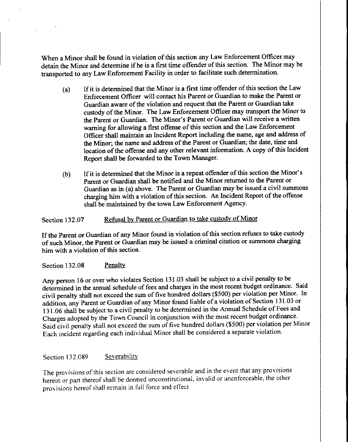When a Minor shall be found in violation of this section any Law Enforcement Officer may detain the Minor and determine if he is a first time offender of this section. The Minor may be transported to any Law Enforcement Facility in order to facilitate such determination.

- $(a)$ If it is determined that the Minor is <sup>a</sup> first time offender ofthis section the Law Enforcement Officer will contact his Parent or Guardian to make the Pazent or Guardian aware of the violation and request that the Parent or Guardian take custody of the Minor. The Law Enforcement Officer may transport the Minor to the Parent or Guardian. The Minor's Parent or Guardian will receive a written It it is determined that the Winor is a first time oftender or this section are East<br>Enforcement Officer will contact his Parent or Guardian to make the Parent or<br>Guardian aware of the violation and request that the Parent Officer shall maintain an Incident Report including the name, age and address of the Minor; the name and address of the Parent or Guardian; the date, time and location of the offense and any other relevant information. A copy of this Incident Report shall be forwazded to the Town Manager If it is determined that the Minor is a repeat offender of this section the Minor is<br>
Parent or Guardian shall be notified and the Minor returned to the Parent or<br>
Parent or Guardian shall be notified and the Minor returne
- Parent or Guardian shall be notified and the Minor returned to the Parent or Guardian as in (a) above. The Parent or Guardian may be issued a civil summons charging him with a violation of this section. An Incident Report of the offense shall be maintained by the town Law Enforcement Agency

# Section 132.07 Refusal by Parent or Guardian to take custody of Minor

If the Parent or Guardian of any Minor found in violation of this section refuses to take custody of such Minor, the Parent or Guardian may be issued a criminal citation or summons charging him with a violation of this section.

## Section 132.08 Penalty

Any person 16 or over who violates Section 131.03 shall be subject to a civil penalty to be determined in the annual schedule of fees and charges in the most recent budget ordinance. Said civil penalty shall not exceed the sum of five hundred dollars (\$500) per violation per Minor. In addition, any Parent or Guardian of any Minor found liable of a violation of Section 131.03 or 131.06 shall be subject to a civil penalty to be determined in the Annual Schedule of Fees and Chazges adopted by the Town Council in conjunction with the most recent budget ordinance Said civil penalty shall not exceed the sum of five hundred dollars (\$500) per violation per Minor Each incident regarding each indicidual Minor shall be considered <sup>a</sup> sepazate violation

## Section 132.089 Severability

The provisions of this section are considered severable and in the event that any provisions herein or part thereof shall be deemed unconstitutional, invalid or unenforceable, the other provisions hereof shall remain in full force and effect